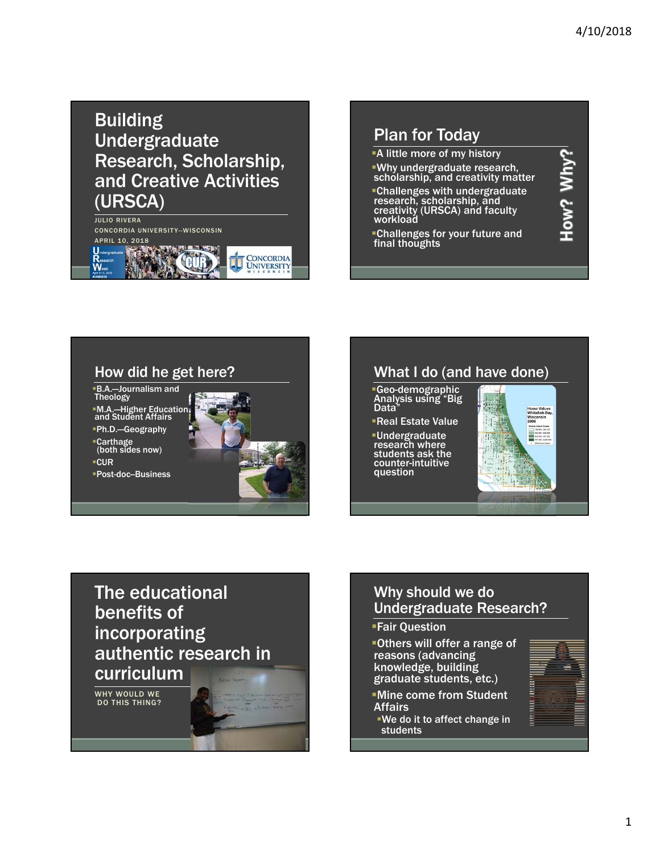# Building **Undergraduate** Research, Scholarship, and Creative Activities (URSCA)

JULIO RIVERA CONCORDIA UNIVERSITY--WISCONSIN



#### Plan for Today A little more of my history How? Why? Why undergraduate research, schólarship, and creativity matter Challenges with undergraduate research, scholarship, and creativity (URSCA) and faculty workload Challenges for your future and final thoughts

### How did he get here?

The educational

authentic research in

benefits of

curriculum

WHY WOULD WE DO THIS THING?

incorporating

B.A.—Journalism and Theology

M.A.—Higher Education and Student Affairs Ph.D.—Geography

Carthage (both sides now)

 $-CUR$ 

**Post-doc-Business** 



## What I do (and have done)

Geo-demographic Analysis using "Big Data"

Real Estate Value Undergraduate research where students ask the counter-intuitive question



# Why should we do Undergraduate Research?

#### Fair Question

Others will offer a range of reasons (advancing knowledge, building graduate students, etc.)

Mine come from Student Affairs

We do it to affect change in students

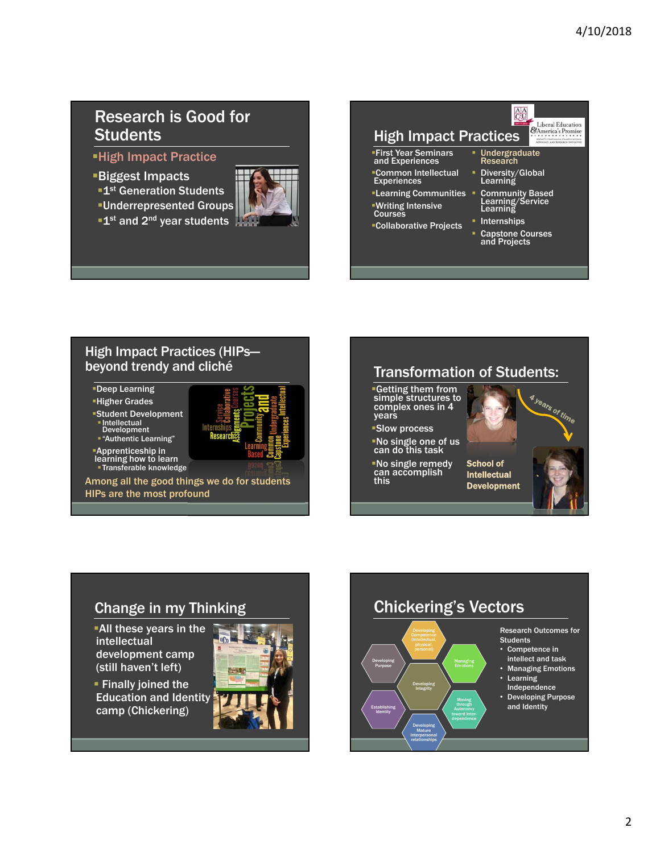## Research is Good for **Students**

High Impact Practice

Biggest Impacts

**1st Generation Students** 

Underrepresented Groups

 $\blacksquare$ 1st and 2<sup>nd</sup> year students



## $\frac{AA}{C}$ High Impact Practices

First Year Seminars and Experiences Common Intellectual Experiences

Learning Communities Writing Intensive Courses

Collaborative Projects

#### Internships Capstone Courses and Projects

Community Based Learning/Service Learning

 Undergraduate Research Diversity/Global Learning

Liberal Education CAmerica's Promise

#### High Impact Practices (HIPs beyond trendy and cliché

Deep Learning

Higher Grades Student Development

 Intellectual Development "Authentic Learning"



Apprenticeship in learning how to learn Transferable knowledge

Among all the good things we do for students HIPs are the most profound



No single remedy can accomplish Intellectual Development

this



# Change in my Thinking

All these years in the intellectual development camp (still haven't left)

**Finally joined the** Education and Identity camp (Chickering)



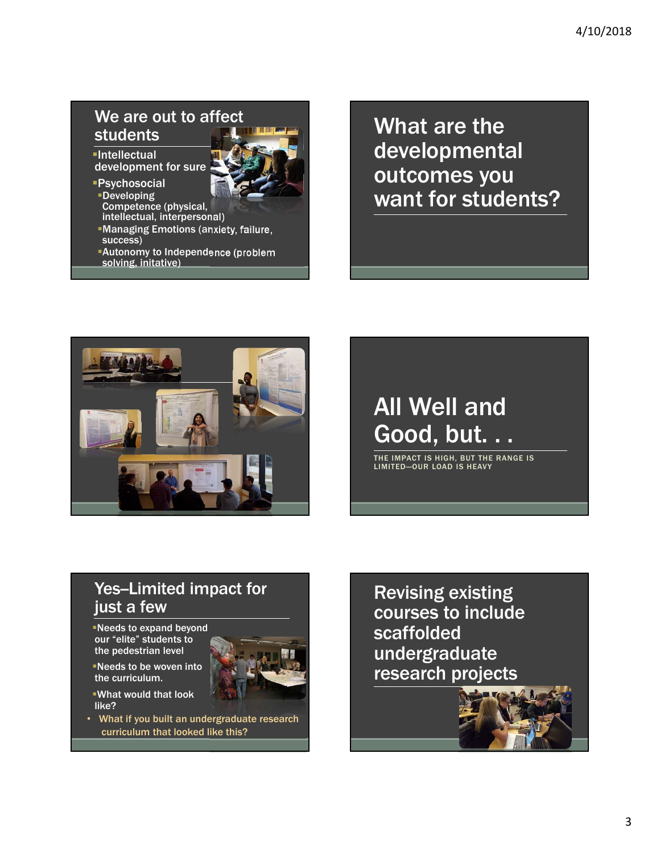# We are out to affect students

**-Intellectual** development for sure

- Psychosocial
- Developing Competence (physical,
- intellectual, interpersonal)
- Managing Emotions (anxiety, failure, success)
- Autonomy to Independence (problem solving, initative)

What are the developmental outcomes you want for students?



# All Well and Good, but. . .

THE IMPACT IS HIGH, BUT THE RANGE IS LIMITED—OUR LOAD IS HEAVY

# Yes-Limited impact for just a few

- Needs to expand beyond our "elite" students to the pedestrian level
- Needs to be woven into the curriculum.
- What would that look like?
- What if you built an undergraduate research curriculum that looked like this?

Revising existing courses to include scaffolded undergraduate research projects

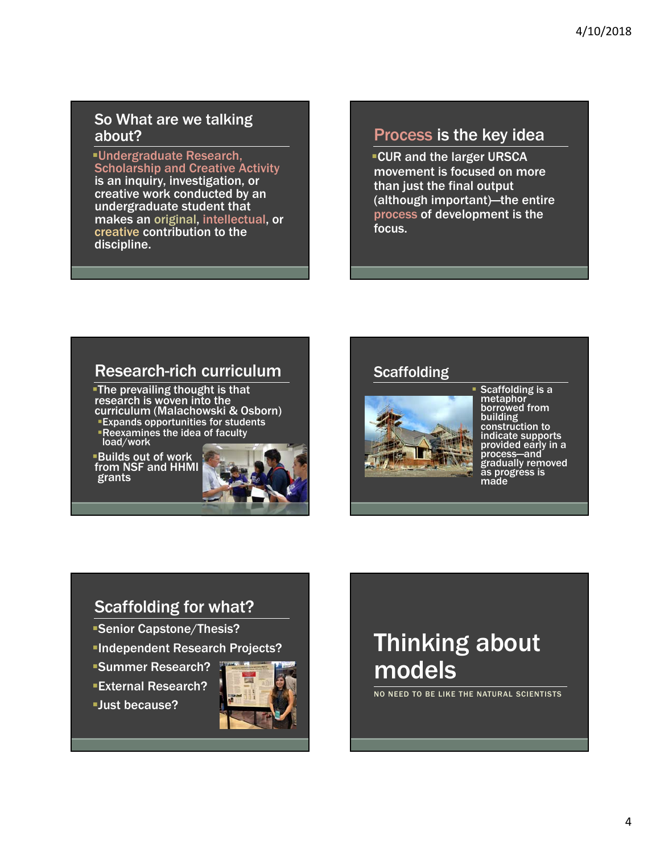### So What are we talking about?

Undergraduate Research, Scholarship and Creative Activity is an inquiry, investigation, or creative work conducted by an undergraduate student that makes an original, intellectual, or creative contribution to the discipline.

# Process is the key idea

**CUR and the larger URSCA** movement is focused on more than just the final output (although important)—the entire process of development is the focus.

# Research-rich curriculum

The prevailing thought is that research is woven into the curriculum (Malachowski & Osborn) Expands opportunities for students Reexamines the idea of faculty load/work

Builds out of work from NSF and HHMI grants



### **Scaffolding**



 Scaffolding is a metaphor<sup>1</sup> borrowed from building construction to indicate supports provided early in a process—and gradually removed as progress is made

## Scaffolding for what?

- Senior Capstone/Thesis?
- Independent Research Projects?
- Summer Research?
- External Research?

Just because?



# Thinking about models

NO NEED TO BE LIKE THE NATURAL SCIENTISTS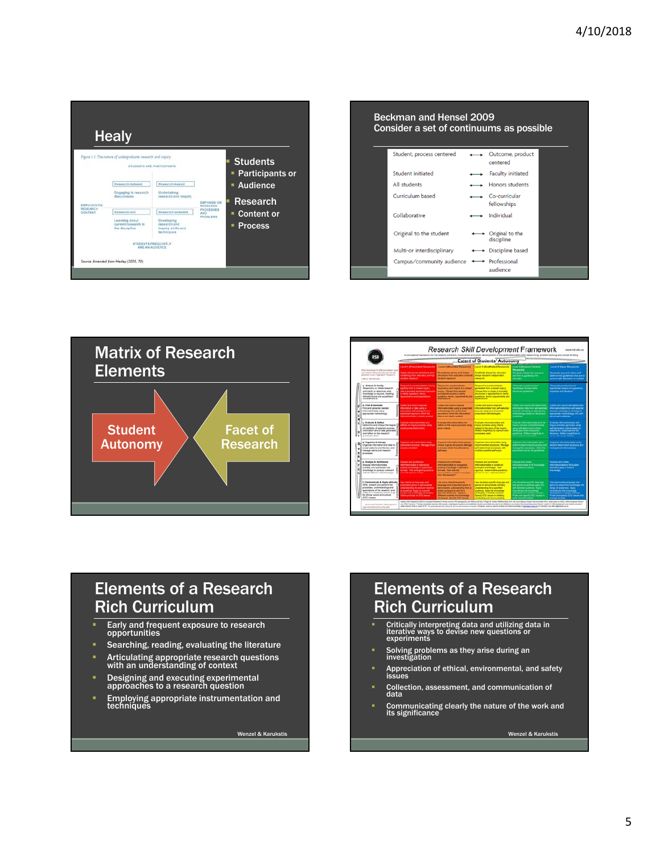

| Beckman and Hensel 2009<br>Consider a set of continuums as possible |  |                               |  |  |  |  |
|---------------------------------------------------------------------|--|-------------------------------|--|--|--|--|
| Student, process centered                                           |  | Outcome, product<br>centered  |  |  |  |  |
| Student initiated                                                   |  | <b>Faculty initiated</b>      |  |  |  |  |
| All students                                                        |  | <b>Honors students</b>        |  |  |  |  |
| Curriculum based                                                    |  | Co-curricular<br>fellowships  |  |  |  |  |
| Collaborative                                                       |  | Individual                    |  |  |  |  |
| Original to the student                                             |  | Original to the<br>discipline |  |  |  |  |
| Multi-or interdisciplinary                                          |  | ← Discipline based            |  |  |  |  |
| Campus/community audience                                           |  | + Professional<br>audience    |  |  |  |  |



| RSD                                                                                                                                                                                                                              | <b>Extent of Students' Autonomy</b>                                                                                                                                                                            |                                                                                                                                                                                                                                            |                                                                                                                                                                                                                                                         |                                                                                                                                                                                                                       |                                                                                                                                                                                                                                      |  |  |  |
|----------------------------------------------------------------------------------------------------------------------------------------------------------------------------------------------------------------------------------|----------------------------------------------------------------------------------------------------------------------------------------------------------------------------------------------------------------|--------------------------------------------------------------------------------------------------------------------------------------------------------------------------------------------------------------------------------------------|---------------------------------------------------------------------------------------------------------------------------------------------------------------------------------------------------------------------------------------------------------|-----------------------------------------------------------------------------------------------------------------------------------------------------------------------------------------------------------------------|--------------------------------------------------------------------------------------------------------------------------------------------------------------------------------------------------------------------------------------|--|--|--|
|                                                                                                                                                                                                                                  | <b>Lovel 1 (Prescribed Research)</b>                                                                                                                                                                           | Lovel 2 (Bearings) Researchs                                                                                                                                                                                                               | <b>Level 3 (Scaffolded Research)</b>                                                                                                                                                                                                                    | Laves & Clitudent archaeod                                                                                                                                                                                            | Laves & (Open Research)                                                                                                                                                                                                              |  |  |  |
| <b>Rhd /working he d'inmarkhent led</b><br>and "retailed P.T.Stop expenditure and must data<br>province and a figures of Female &<br>school students.                                                                            | <b>Safe of the Second Lease Services</b> and<br>Produking Trans a durator prompt<br>shared research                                                                                                            | <b>Rendell bits of he awarded</b><br>dischool from aducator charme<br><b>Crasset Houses</b>                                                                                                                                                | <b>Scattubbe placed by aducator</b><br>shape student independent<br><b>Manager</b>                                                                                                                                                                      | <b>Researchi</b><br><b>Ruderic Industry the language</b><br>and film is guided by the<br><b>STATISTICS</b>                                                                                                            | <b>Students research within self-</b><br>deleroned publices that are in<br>accord with discipline or context                                                                                                                         |  |  |  |
| <b>A. Embark &amp; Clarify</b><br>Respond to or initials researchy<br>and starily or determine what<br>knowledge is negated, heading<br>ethosiloutural and socialisem<br>considerations.                                         | <b>Financial to commendance artists</b><br>explicitly liters a citizent majory<br>Jet a provided enumber specialty<br>to chefy superiors, home,<br>according to and expectations.                              | Responsible constructions<br>was not by and maked in a climat<br><b>PAGE: Choose from an enter</b><br>previous program to planty<br>saidors, tems, responsive and<br><b>CONTRACTOR</b>                                                     | <b><i><u>Respond to questions/lasted</u></i></b><br>prerelation a closel reary.<br><b>Document Promot in Administration of provident</b><br>situatures or approaches to cheft<br>questions, terms, requirements and<br>experience.                      | <b>Cannon contemporal</b><br><b>CONFIDENT Partner Intro-</b><br>shortcred publisher?                                                                                                                                  | <b><i><u>Termals assistances</u></i></b><br><b>Publishers based on significant</b><br>superhist and the sture?                                                                                                                       |  |  |  |
| <b>S. Find &amp; Cenerale</b><br>First and parente resoled<br>information/data using<br>appropriate methodology                                                                                                                  | Collect and closed mountain<br><b>Hartolin or deta carrolla</b><br>proportional mathematically from a<br><b>Photo Great securities of which the</b><br><b>Manhood chases at abandoned and</b>                  | Collect and named required<br>eturnationizata usro a prescritar<br>hartware, han presented<br>source/s in erfects the informations'<br><b>Sala in not clearly availant</b>                                                                 | <b><i><u>Collect British Will Selected</u></i></b><br>educationships from self-asterbal<br>tehering three gries and reform<br>prescribed methodologies                                                                                                  | <b>Colorado apenti concerto quello degeneramento</b><br>domatori dala from addissimissi<br>shares improve an appropriate<br>and technique freezed art settlement<br><b>Linking</b>                                    | Collect and record self-beneficiant<br>internationalists from self-untarian<br>Visitors, character or devising an-<br>Australiane methodology with audi                                                                              |  |  |  |
| c. Evaluate & Reflect<br>Determine and orthogo the degree between and manage process carry<br>of credibility of selected accross.<br>information and of date personated<br>and tellect on the testants.<br>processes used.       | <b>Contrainer in American contrains with</b><br>writing prescribed coloria.                                                                                                                                    | Englished Informationships and<br>prior annung yang te art no tushe<br>given unless.                                                                                                                                                       | Evaluate information/data and<br>enjury primers using bitterial<br>sisted to the sime of the impulne.<br><b>Reflect insightfully to improve part</b><br>processors used                                                                                 | <b>Evelyes informations and the</b><br><b>Philadelphia Sandala (California)</b><br>any of amount chin<br><b>Mysticsed withon shruthand</b><br>policings. Reflect meantshake to:<br>refire officers processes.         | Evaluate informationship and<br>mosty present typewell stress<br>will generated crimin breed on<br>experience, experitue and fire.<br><b>Harakas Rahot escribium</b><br>www.alters.programs                                          |  |  |  |
| d. Organiza & Hanage<br>Organise information and data to<br>recent cellures and Exerces: and<br>manage basins and research.<br>processes.                                                                                        | <b>Diserse informationships comp</b><br>prescribed structure. Manage treat<br><b><i><u><u><b>DESCRIPTION AND RESIDENTS</b></u></u></i></b>                                                                     | Digestes informationships using a<br>duce of given structures. Mensue<br>a interacce selects has alternative-<br>partners in                                                                                                               | Diseries Information that saints!<br>account and at unusures. Manage-<br>and classroomed monographs with<br>multiple providing performant.                                                                                                              | <b>Disease informationships carry</b><br><b>Buttern determined shuttures, and</b><br><b>Intract the processes</b> selled the<br>perempters set by the pursetions.                                                     | Drawing Information (days)<br>student-determined structures and<br><b>Haraconart of processes</b>                                                                                                                                    |  |  |  |
| 4. Analyse & Sunthesize<br>Analysa Information Malia<br>orticals and surfreshe new<br>knowledge to produce collensit<br>industrial/heart understandings                                                                          | <b>Analyze and surdivision</b><br><b>Montakerchais to reproduce</b><br>modification in additional production<br><b>Servany.</b> "And announced quantitive<br>of clarification is consist-                      | <b>Analysis and Lindhams</b><br>Information (data for neuropensity)<br>Annaling Areanimities in standard<br><b><i><u><u><b>Advisory State Advisory</b></u></u></i></b><br><b>Installation in advised amending</b><br><b>fun t'a newch"</b> | <b>Analysis and sunthanized</b><br>informativistate to construct<br>arranged broadedge "Aut<br>sponsor, researchable questions.<br>hesed on one understanding!                                                                                          | <b>Indirect and create</b><br>retrievatorchata to fit enougakias<br>pays stated by others.                                                                                                                            | <b>Analysis and Steam</b><br>internation/data in 12 an.men.<br>stertified pack in extent<br><b>Impoundant</b>                                                                                                                        |  |  |  |
| f. Communicate & Apply ethically<br>Virtus, present and perform the<br>processes, understandings and<br>applications of the research, and<br>respond to healthest, assumpting 1<br>for which lended and cultural<br>(ESC) league | das manti for terzonos ant<br>product that if games his democraticals<br>indentiately for technic basical<br>as autonom Apply to a smiler<br>circles the interesting developed<br>lates prempts on ESC raises. | the world discipline specific<br>language and prescribed game to:<br>Amongrape unterstanding from a<br>wated perspective and for a<br>specified audience. Apply to<br><b>Chest colors for interiors</b><br>tend Spach ESC move             | der discoltre-specific tenguage and<br>person to demonstrate substants<br>understanding by a specified<br>audience, Apply the Animalistan<br>benefits and his divertee contentle.<br>Specify ESC Insura in Infiniting<br>producting and parents require | Jae darpine-specific language<br>and perhaps to address page of a<br>suff astronod analysis in Faulty<br>Personalizate The American pro-<br>Personalizate is a different contact:<br>toke and specify \$300 league in | <b>Site sportprists lenguage and</b><br>gerna to adarel the knowledge of a<br>inerge of automotive Pasts.<br>Presidents the Annuality<br>detentioned by tradition contents.<br>Prote and specify CIV, lesses that<br>private bringly |  |  |  |

## Elements of a Research Rich Curriculum

- Early and frequent exposure to research opportunities
- Searching, reading, evaluating the literature
- Articulating appropriate research questions with an understanding of context
- Designing and executing experimental approaches to a research question
- Employing appropriate instrumentation and techniques

Wenzel & Karukstis

# Elements of a Research Rich Curriculum

- Critically interpreting data and utilizing data in iterative ways to devise new questions or experiments
- Solving problems as they arise during an investigation
- Appreciation of ethical, environmental, and safety issues
- Collection, assessment, and communication of data
- Communicating clearly the nature of the work and its significance

Wenzel & Karukstis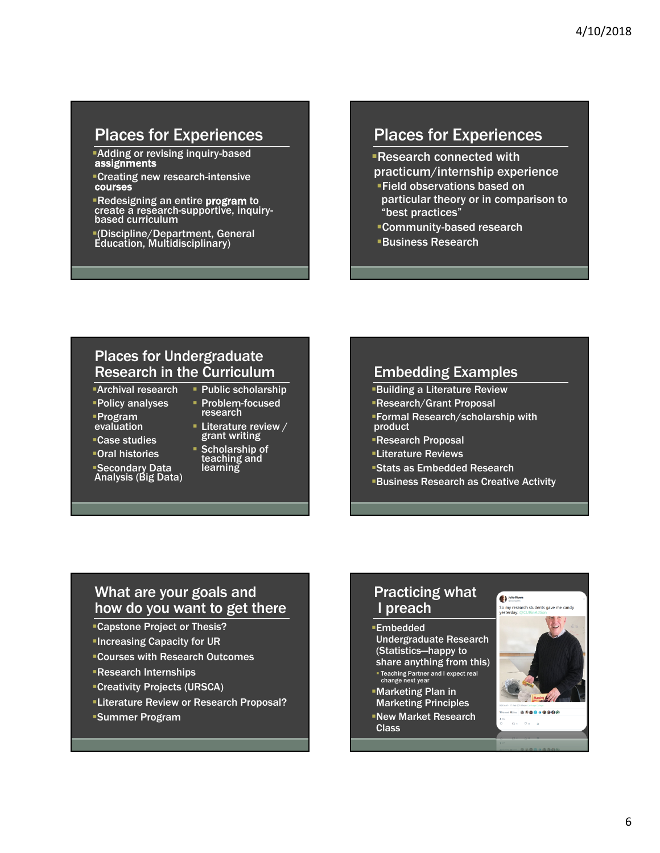## Places for Experiences

Adding or revising inquiry-based assignments

Creating new research-intensive courses

Redesigning an entire program to create a research-supportive, inquirybased curriculum

(Discipline/Department, General Education, Multidisciplinary)

## Places for Experiences

Research connected with practicum/internship experience

- Field observations based on particular theory or in comparison to "best practices"
- Community-based research
- Business Research

#### Places for Undergraduate Research in the Curriculum

- Archival research
- Policy analyses
- Program evaluation
- Case studies
- Oral histories
- Secondary Data Analysis (Big Data)
- Problem-focused research **- Literature review /**

**Public scholarship** 

- Scholarship of
- grant writing
- teaching and learning

#### Embedding Examples

- Building a Literature Review
- Research/Grant Proposal
- Formal Research/scholarship with product
- Research Proposal
- Literature Reviews
- Stats as Embedded Research
- Business Research as Creative Activity

#### What are your goals and how do you want to get there

- Capstone Project or Thesis?
- **Increasing Capacity for UR**
- Courses with Research Outcomes
- Research Internships
- Creativity Projects (URSCA)
- Literature Review or Research Proposal?
- Summer Program

### Practicing what I preach

#### Embedded

- Undergraduate Research (Statistics—happy to share anything from this) Teaching Partner and I expect real change next year
- Marketing Plan in Marketing Principles
- New Market Research Class

#### **Allio Rivers** So my research students gave me candy<br>vesterday. @CURinAction



 $\alpha_2 = \alpha_3 = \alpha$